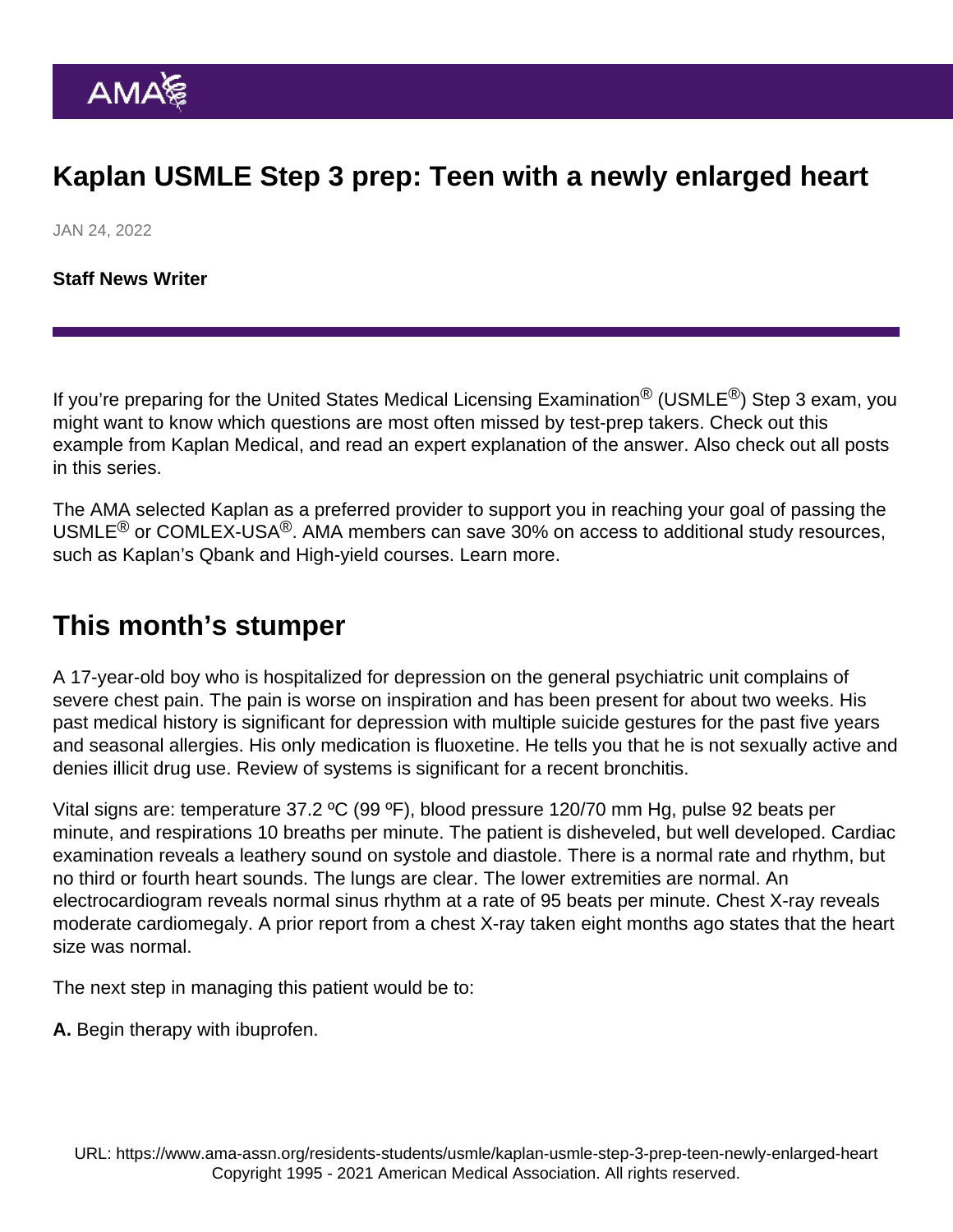## Kaplan USMLE Step 3 prep: Teen with a newly enlarged heart

JAN 24, 2022

[Staff News Writer](https://www.ama-assn.org/news-leadership-viewpoints/authors-news-leadership-viewpoints/staff-news-writer)

If you're preparing for the United States Medical Licensing Examination<sup>®</sup> (USMLE<sup>®</sup>) Step 3 exam. vou might want to know which questions are most often missed by test-prep takers. Check out this example from Kaplan Medical, and read an expert explanation of the answer. Also check out [all posts](https://www.ama-assn.org/residents-students/usmle) [in this series.](https://www.ama-assn.org/residents-students/usmle)

The AMA selected Kaplan as a preferred provider to support you in reaching your goal of passing the USMLE<sup>®</sup> or COMLEX-USA<sup>®</sup>. AMA members can save 30% on access to additional study resources, such as Kaplan's Qbank and High-yield courses. [Learn more.](https://www.ama-assn.org/ama-member-benefits/individual-member-benefits/educational-student-discounts)

## This month's stumper

A 17-year-old boy who is hospitalized for depression on the general psychiatric unit complains of severe chest pain. The pain is worse on inspiration and has been present for about two weeks. His past medical history is significant for depression with multiple suicide gestures for the past five years and seasonal allergies. His only medication is fluoxetine. He tells you that he is not sexually active and denies illicit drug use. Review of systems is significant for a recent bronchitis.

Vital signs are: temperature 37.2 ºC (99 ºF), blood pressure 120/70 mm Hg, pulse 92 beats per minute, and respirations 10 breaths per minute. The patient is disheveled, but well developed. Cardiac examination reveals a leathery sound on systole and diastole. There is a normal rate and rhythm, but no third or fourth heart sounds. The lungs are clear. The lower extremities are normal. An electrocardiogram reveals normal sinus rhythm at a rate of 95 beats per minute. Chest X-ray reveals moderate cardiomegaly. A prior report from a chest X-ray taken eight months ago states that the heart size was normal.

The next step in managing this patient would be to:

A. Begin therapy with ibuprofen.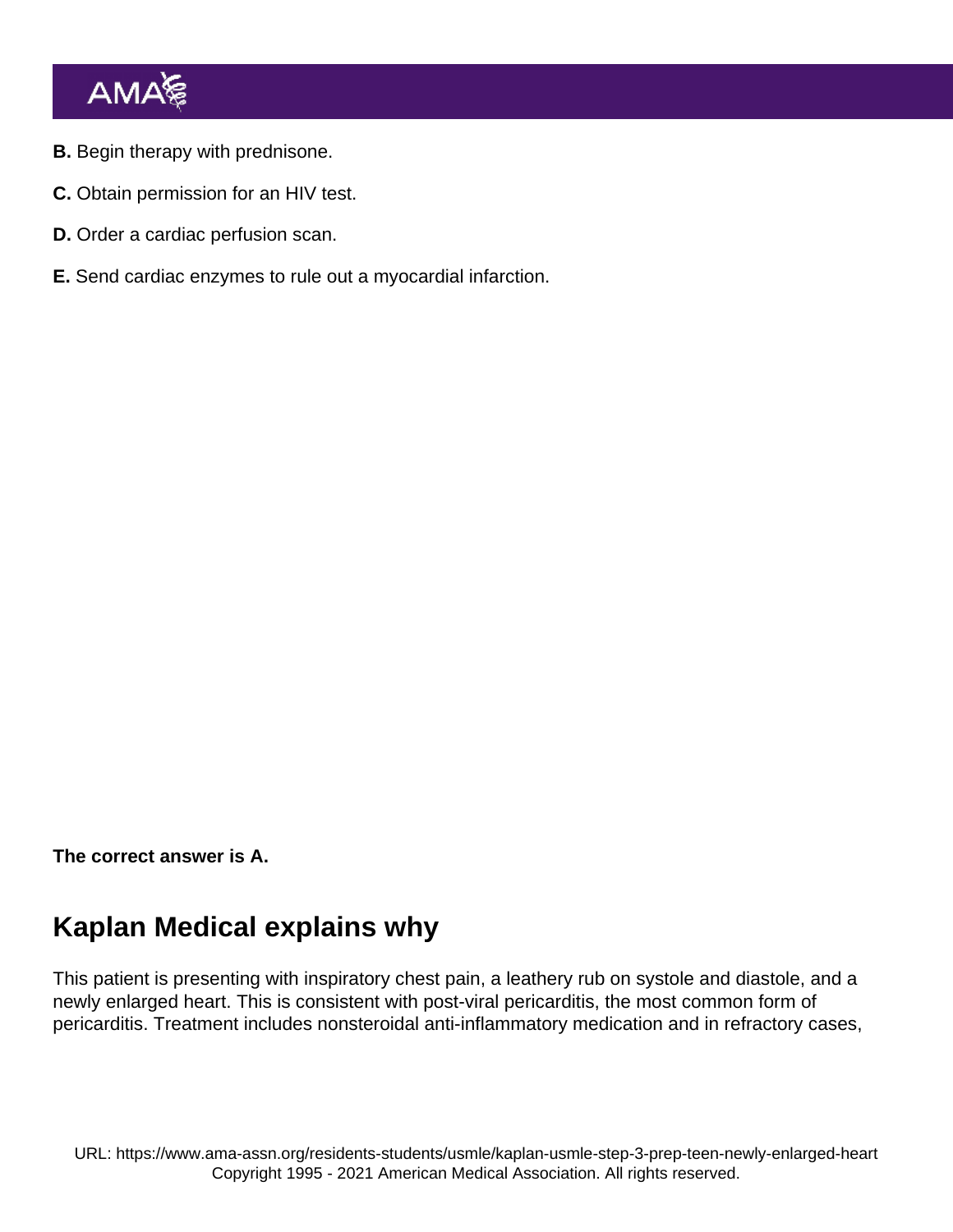- B. Begin therapy with prednisone.
- C. Obtain permission for an HIV test.
- D. Order a cardiac perfusion scan.
- E. Send cardiac enzymes to rule out a myocardial infarction.

The correct answer is A.

## Kaplan Medical explains why

This patient is presenting with inspiratory chest pain, a leathery rub on systole and diastole, and a newly enlarged heart. This is consistent with post-viral pericarditis, the most common form of pericarditis. Treatment includes nonsteroidal anti-inflammatory medication and in refractory cases,